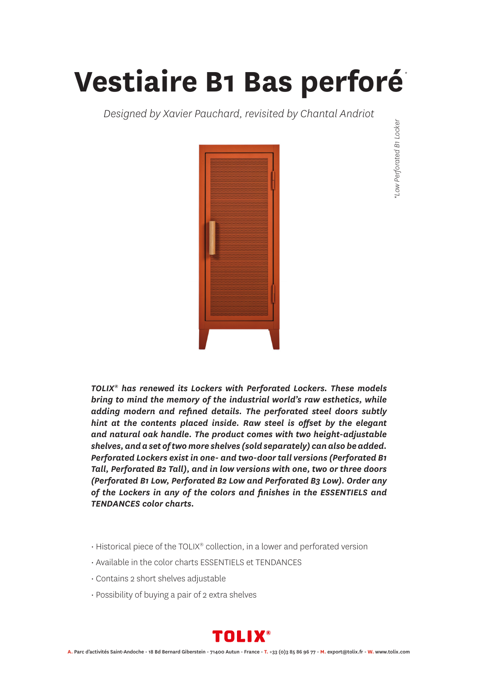## **Vestiaire B1 Bas perforé**

*Designed by Xavier Pauchard, revisited by Chantal Andriot*



*\*Low Perforated B1 Locker \**Low Perforated B1 Locker

*TOLIX® has renewed its Lockers with Perforated Lockers. These models bring to mind the memory of the industrial world's raw esthetics, while adding modern and refined details. The perforated steel doors subtly hint at the contents placed inside. Raw steel is offset by the elegant and natural oak handle. The product comes with two height-adjustable shelves, and a set of two more shelves (sold separately) can also be added. Perforated Lockers exist in one- and two-door tall versions (Perforated B1 Tall, Perforated B2 Tall), and in low versions with one, two or three doors (Perforated B1 Low, Perforated B2 Low and Perforated B3 Low). Order any of the Lockers in any of the colors and finishes in the ESSENTIELS and TENDANCES color charts.*

- Historical piece of the TOLIX® collection, in a lower and perforated version
- Available in the color charts ESSENTIELS et TENDANCES
- Contains 2 short shelves adjustable
- Possibility of buying a pair of 2 extra shelves